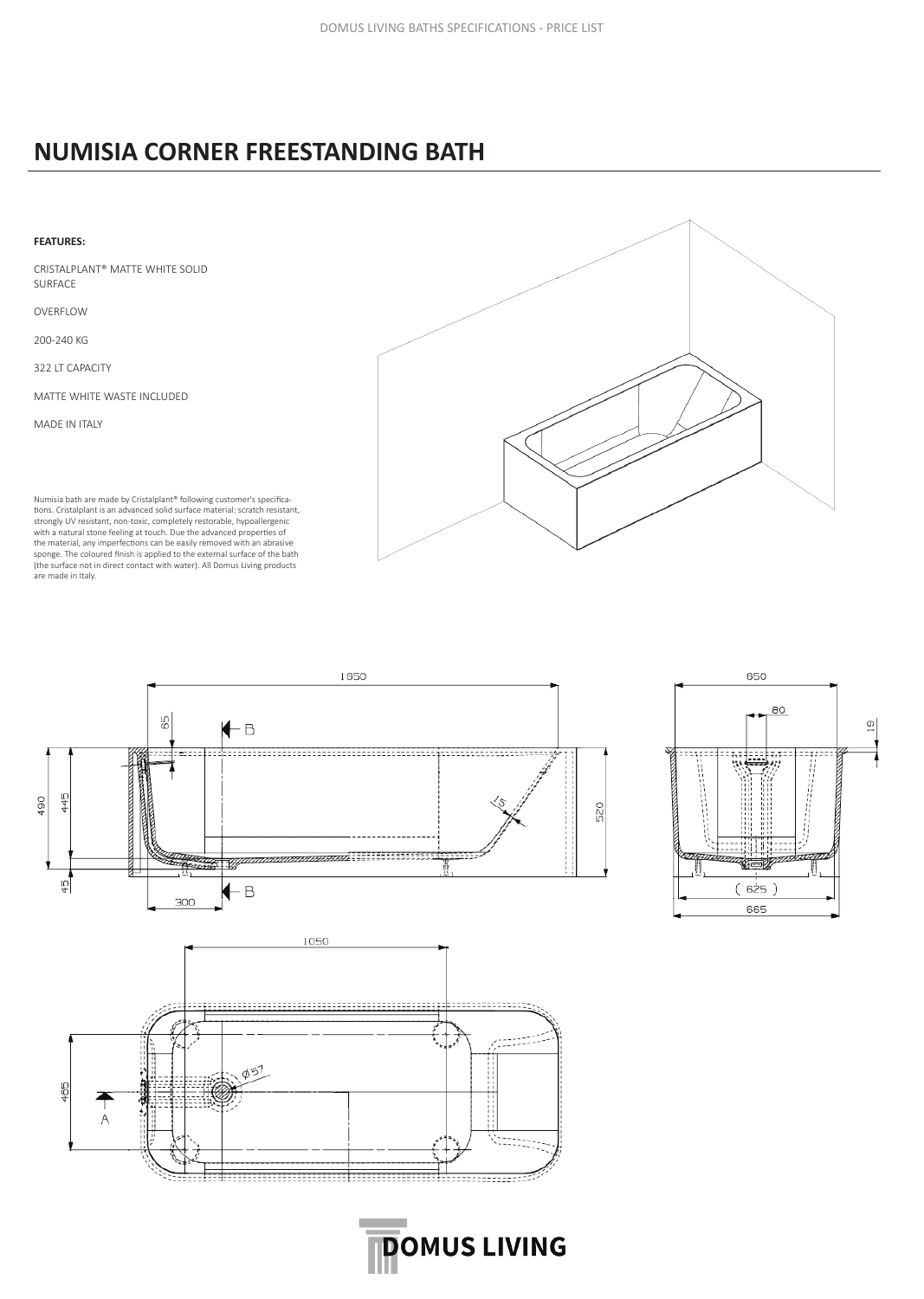## **NUMISIA CORNER FREESTANDING BATH**





**DOMUS LIVING**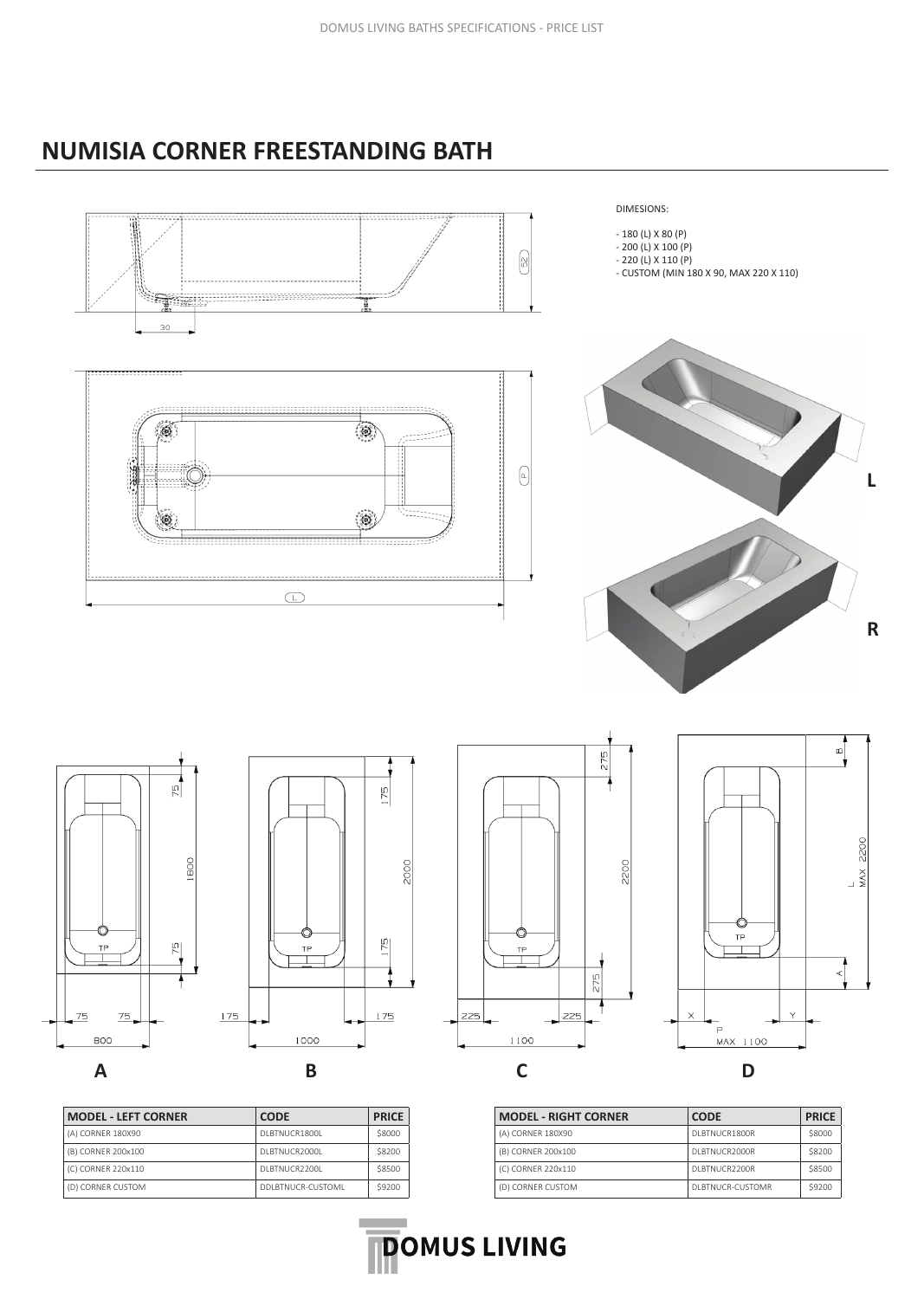## **NUMISIA CORNER FREESTANDING BATH**



| <b>MODEL - LEFT CORNER</b> | <b>CODE</b>        | <b>PRICE</b> |
|----------------------------|--------------------|--------------|
| (A) CORNER 180X90          | DI BTNUCR1800L     | \$8000       |
| (B) CORNER 200x100         | DI BTNUCR2000L     | \$8200       |
| (C) CORNER 220x110         | DI BTNUCR2200L     | \$8500       |
| (D) CORNER CUSTOM          | DDI BTNUCR-CUSTOMI | \$9200       |

| <b>MODEL - RIGHT CORNER</b> | <b>CODE</b>       | <b>PRICE</b> |
|-----------------------------|-------------------|--------------|
| (A) CORNER 180X90           | DI BTNUCR1800R    | \$8000       |
| (B) CORNER 200x100          | DI BTNUCR2000R    | \$8200       |
| (C) CORNER 220x110          | DI BTNUCR2200R    | \$8500       |
| (D) CORNER CUSTOM           | DI BTNUCR-CUSTOMR | \$9200       |